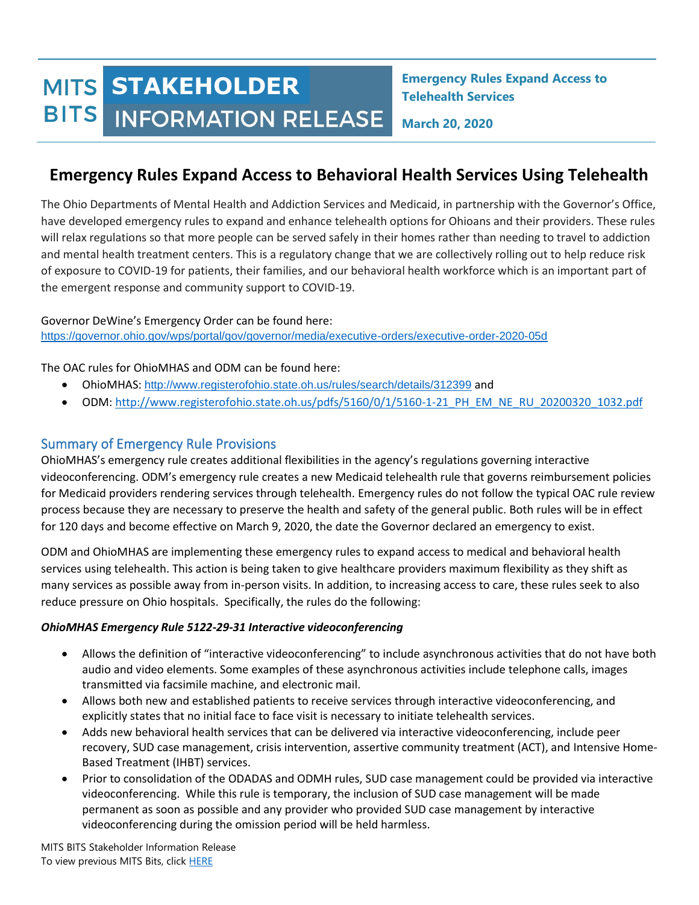# **MITS STAKEHOLDER** BITS INFORMATION RELEASE

**Emergency Rules Expand Access to Telehealth Services**

**March 20, 2020**

# **Emergency Rules Expand Access to Behavioral Health Services Using Telehealth**

The Ohio Departments of Mental Health and Addiction Services and Medicaid, in partnership with the Governor's Office, have developed emergency rules to expand and enhance telehealth options for Ohioans and their providers. These rules will relax regulations so that more people can be served safely in their homes rather than needing to travel to addiction and mental health treatment centers. This is a regulatory change that we are collectively rolling out to help reduce risk of exposure to COVID-19 for patients, their families, and our behavioral health workforce which is an important part of the emergent response and community support to COVID-19.

Governor DeWine's Emergency Order can be found here: <https://governor.ohio.gov/wps/portal/gov/governor/media/executive-orders/executive-order-2020-05d>

The OAC rules for OhioMHAS and ODM can be found here:

- OhioMHAS: <http://www.registerofohio.state.oh.us/rules/search/details/312399> and
- ODM: http://www.registerofohio.state.oh.us/pdfs/5160/0/1/5160-1-21 PH\_EM\_NE\_RU\_20200320\_1032.pdf

# Summary of Emergency Rule Provisions

OhioMHAS's emergency rule creates additional flexibilities in the agency's regulations governing interactive videoconferencing. ODM's emergency rule creates a new Medicaid telehealth rule that governs reimbursement policies for Medicaid providers rendering services through telehealth. Emergency rules do not follow the typical OAC rule review process because they are necessary to preserve the health and safety of the general public. Both rules will be in effect for 120 days and become effective on March 9, 2020, the date the Governor declared an emergency to exist.

ODM and OhioMHAS are implementing these emergency rules to expand access to medical and behavioral health services using telehealth. This action is being taken to give healthcare providers maximum flexibility as they shift as many services as possible away from in-person visits. In addition, to increasing access to care, these rules seek to also reduce pressure on Ohio hospitals. Specifically, the rules do the following:

#### *OhioMHAS Emergency Rule 5122-29-31 Interactive videoconferencing*

- Allows the definition of "interactive videoconferencing" to include asynchronous activities that do not have both audio and video elements. Some examples of these asynchronous activities include telephone calls, images transmitted via facsimile machine, and electronic mail.
- Allows both new and established patients to receive services through interactive videoconferencing, and explicitly states that no initial face to face visit is necessary to initiate telehealth services.
- Adds new behavioral health services that can be delivered via interactive videoconferencing, include peer recovery, SUD case management, crisis intervention, assertive community treatment (ACT), and Intensive Home-Based Treatment (IHBT) services.
- Prior to consolidation of the ODADAS and ODMH rules, SUD case management could be provided via interactive videoconferencing. While this rule is temporary, the inclusion of SUD case management will be made permanent as soon as possible and any provider who provided SUD case management by interactive videoconferencing during the omission period will be held harmless.

MITS BITS Stakeholder Information Release To view previous MITS Bits, clic[k HERE](https://bh.medicaid.ohio.gov/Newsletters)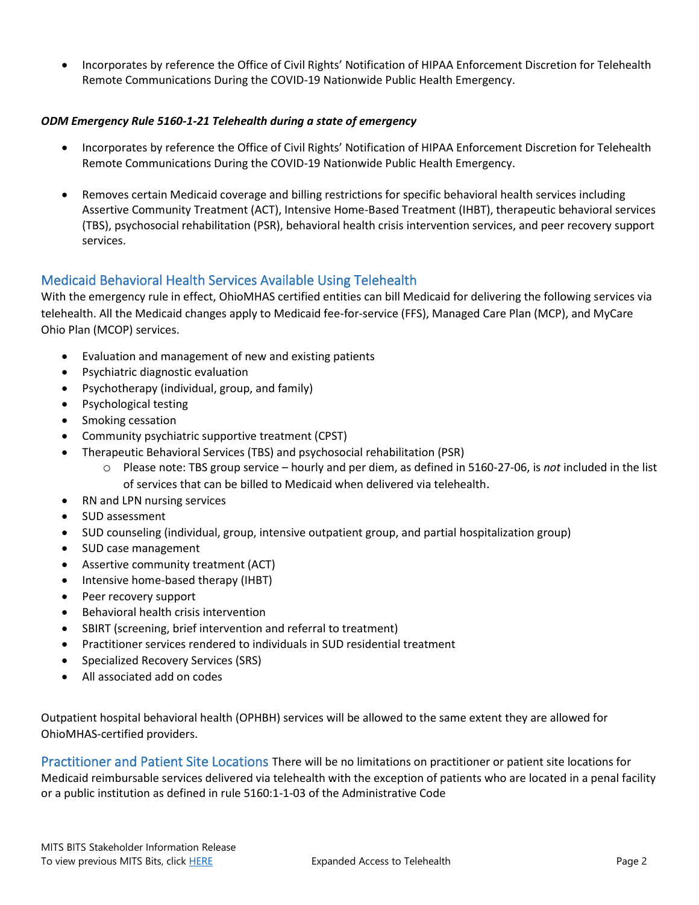• Incorporates by reference the Office of Civil Rights' Notification of HIPAA Enforcement Discretion for Telehealth Remote Communications During the COVID-19 Nationwide Public Health Emergency.

#### *ODM Emergency Rule 5160-1-21 Telehealth during a state of emergency*

- Incorporates by reference the Office of Civil Rights' Notification of HIPAA Enforcement Discretion for Telehealth Remote Communications During the COVID-19 Nationwide Public Health Emergency.
- Removes certain Medicaid coverage and billing restrictions for specific behavioral health services including Assertive Community Treatment (ACT), Intensive Home-Based Treatment (IHBT), therapeutic behavioral services (TBS), psychosocial rehabilitation (PSR), behavioral health crisis intervention services, and peer recovery support services.

# Medicaid Behavioral Health Services Available Using Telehealth

With the emergency rule in effect, OhioMHAS certified entities can bill Medicaid for delivering the following services via telehealth. All the Medicaid changes apply to Medicaid fee-for-service (FFS), Managed Care Plan (MCP), and MyCare Ohio Plan (MCOP) services.

- Evaluation and management of new and existing patients
- Psychiatric diagnostic evaluation
- Psychotherapy (individual, group, and family)
- Psychological testing
- Smoking cessation
- Community psychiatric supportive treatment (CPST)
- Therapeutic Behavioral Services (TBS) and psychosocial rehabilitation (PSR)
	- o Please note: TBS group service hourly and per diem, as defined in 5160-27-06, is *not* included in the list of services that can be billed to Medicaid when delivered via telehealth.
- RN and LPN nursing services
- SUD assessment
- SUD counseling (individual, group, intensive outpatient group, and partial hospitalization group)
- SUD case management
- Assertive community treatment (ACT)
- Intensive home-based therapy (IHBT)
- Peer recovery support
- Behavioral health crisis intervention
- SBIRT (screening, brief intervention and referral to treatment)
- Practitioner services rendered to individuals in SUD residential treatment
- Specialized Recovery Services (SRS)
- All associated add on codes

Outpatient hospital behavioral health (OPHBH) services will be allowed to the same extent they are allowed for OhioMHAS-certified providers.

Practitioner and Patient Site Locations There will be no limitations on practitioner or patient site locations for Medicaid reimbursable services delivered via telehealth with the exception of patients who are located in a penal facility or a public institution as defined in rule 5160:1-1-03 of the Administrative Code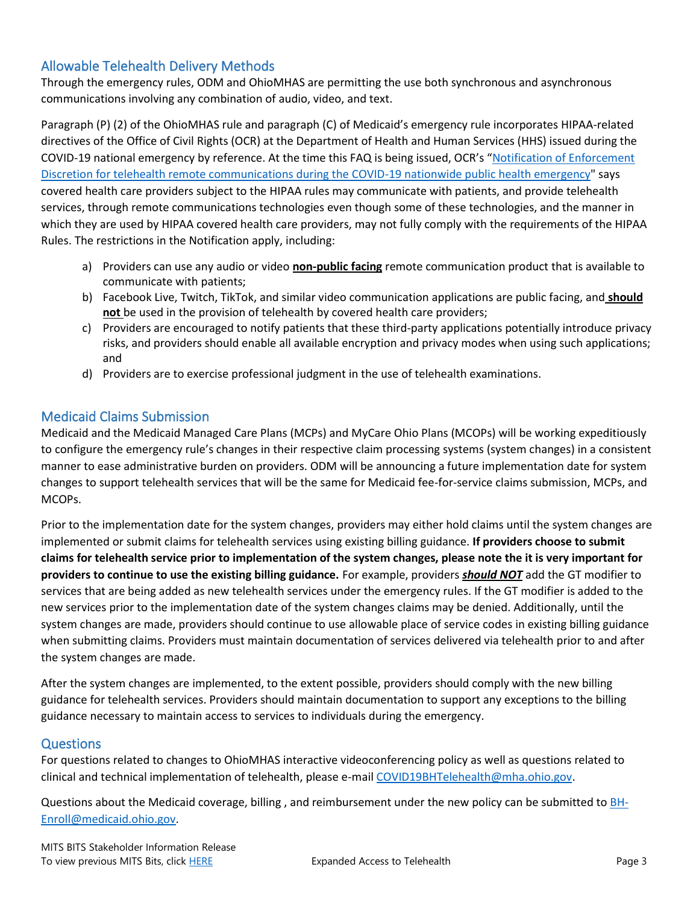# Allowable Telehealth Delivery Methods

Through the emergency rules, ODM and OhioMHAS are permitting the use both synchronous and asynchronous communications involving any combination of audio, video, and text.

Paragraph (P) (2) of the OhioMHAS rule and paragraph (C) of Medicaid's emergency rule incorporates HIPAA-related directives of the Office of Civil Rights (OCR) at the Department of Health and Human Services (HHS) issued during the COVID-19 national emergency by reference. At the time this FAQ is being issued, OCR's "[Notification of Enforcement](https://www.hhs.gov/hipaa/for-professionals/special-topics/emergency-preparedness/notification-enforcement-discretion-telehealth/index.html)  [Discretion for telehealth remote communications during the COVID-19 nationwide public health emergency"](https://www.hhs.gov/hipaa/for-professionals/special-topics/emergency-preparedness/notification-enforcement-discretion-telehealth/index.html) says covered health care providers subject to the HIPAA rules may communicate with patients, and provide telehealth services, through remote communications technologies even though some of these technologies, and the manner in which they are used by HIPAA covered health care providers, may not fully comply with the requirements of the HIPAA Rules. The restrictions in the Notification apply, including:

- a) Providers can use any audio or video **non-public facing** remote communication product that is available to communicate with patients;
- b) Facebook Live, Twitch, TikTok, and similar video communication applications are public facing, and **should not** be used in the provision of telehealth by covered health care providers;
- c) Providers are encouraged to notify patients that these third-party applications potentially introduce privacy risks, and providers should enable all available encryption and privacy modes when using such applications; and
- d) Providers are to exercise professional judgment in the use of telehealth examinations.

### Medicaid Claims Submission

Medicaid and the Medicaid Managed Care Plans (MCPs) and MyCare Ohio Plans (MCOPs) will be working expeditiously to configure the emergency rule's changes in their respective claim processing systems (system changes) in a consistent manner to ease administrative burden on providers. ODM will be announcing a future implementation date for system changes to support telehealth services that will be the same for Medicaid fee-for-service claims submission, MCPs, and MCOPs.

Prior to the implementation date for the system changes, providers may either hold claims until the system changes are implemented or submit claims for telehealth services using existing billing guidance. **If providers choose to submit claims for telehealth service prior to implementation of the system changes, please note the it is very important for providers to continue to use the existing billing guidance.** For example, providers *should NOT* add the GT modifier to services that are being added as new telehealth services under the emergency rules. If the GT modifier is added to the new services prior to the implementation date of the system changes claims may be denied. Additionally, until the system changes are made, providers should continue to use allowable place of service codes in existing billing guidance when submitting claims. Providers must maintain documentation of services delivered via telehealth prior to and after the system changes are made.

After the system changes are implemented, to the extent possible, providers should comply with the new billing guidance for telehealth services. Providers should maintain documentation to support any exceptions to the billing guidance necessary to maintain access to services to individuals during the emergency.

#### **Questions**

For questions related to changes to OhioMHAS interactive videoconferencing policy as well as questions related to clinical and technical implementation of telehealth, please e-mai[l COVID19BHTelehealth@mha.ohio.gov.](mailto:COVID19BHTelehealth@mha.ohio.gov)

Questions about the Medicaid coverage, billing, and reimbursement under the new policy can be submitted t[o BH-](mailto:BH-Enroll@medicaid.ohio.gov)[Enroll@medicaid.ohio.gov.](mailto:BH-Enroll@medicaid.ohio.gov)